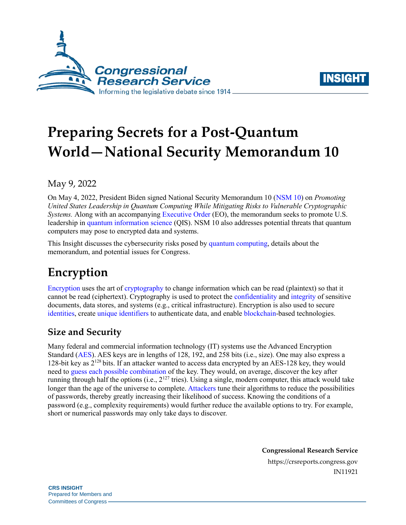



# **Preparing Secrets for a Post-Quantum World—National Security Memorandum 10**

## May 9, 2022

On May 4, 2022, President Biden signed National Security Memorandum 10 [\(NSM 10\)](https://www.whitehouse.gov/briefing-room/statements-releases/2022/05/04/national-security-memorandum-on-promoting-united-states-leadership-in-quantum-computing-while-mitigating-risks-to-vulnerable-cryptographic-systems/) on *Promoting United States Leadership in Quantum Computing While Mitigating Risks to Vulnerable Cryptographic Systems.* Along with an accompanying [Executive Order](https://www.whitehouse.gov/briefing-room/presidential-actions/2022/05/04/executive-order-on-enhancing-the-national-quantum-initiative-advisory-committee/) (EO), the memorandum seeks to promote U.S. leadership in [quantum information science](https://crsreports.congress.gov/product/pdf/IF/IF11524) (QIS). NSM 10 also addresses potential threats that quantum computers may pose to encrypted data and systems.

This Insight discusses the cybersecurity risks posed by [quantum computing,](https://www.quantum.gov/) details about the memorandum, and potential issues for Congress.

## **Encryption**

[Encryption](https://crsreports.congress.gov/product/pdf/R/R44642) uses the art of [cryptography](https://csrc.nist.gov/glossary/term/cryptography) to change information which can be read (plaintext) so that it cannot be read (ciphertext). Cryptography is used to protect the [confidentiality](https://csrc.nist.gov/glossary/term/confidentiality) and [integrity](https://csrc.nist.gov/glossary/term/integrity) of sensitive documents, data stores, and systems (e.g., critical infrastructure). Encryption is also used to secure [identities,](https://www.cloudflare.com/learning/ssl/what-is-asymmetric-encryption/) create [unique identifiers](https://csrc.nist.gov/csrc/media/events/workshop-on-cybersecurity-in-a-post-quantum-world/documents/papers/session5-hulsing-paper.pdf) to authenticate data, and enable [blockchain-](https://crsreports.congress.gov/product/pdf/R/R47064)based technologies.

## **Size and Security**

Many federal and commercial information technology (IT) systems use the Advanced Encryption Standard [\(AES\)](https://nvlpubs.nist.gov/nistpubs/FIPS/NIST.FIPS.197.pdf). AES keys are in lengths of 128, 192, and 258 bits (i.e., size). One may also express a 128-bit key as  $2^{128}$  bits. If an attacker wanted to access data encrypted by an AES-128 key, they would need to [guess each possible combination](https://csrc.nist.gov/glossary/term/brute_force_password_attack) of the key. They would, on average, discover the key after running through half the options (i.e., 2<sup>127</sup> tries). Using a single, modern computer, this attack would take longer than the age of the universe to complete[. Attackers](https://csrc.nist.gov/glossary/term/cryptanalysis) tune their algorithms to reduce the possibilities of passwords, thereby greatly increasing their likelihood of success. Knowing the conditions of a password (e.g., complexity requirements) would further reduce the available options to try. For example, short or numerical passwords may only take days to discover.

**Congressional Research Service**

https://crsreports.congress.gov IN11921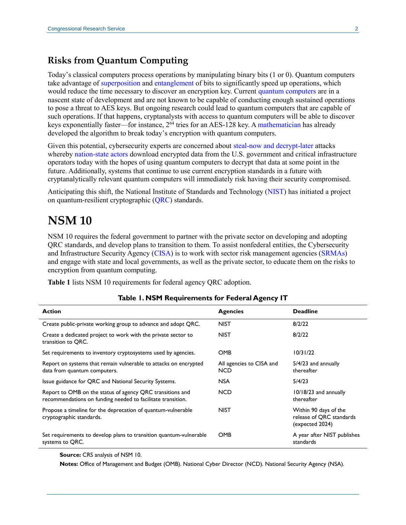#### **Risks from Quantum Computing**

Today's classical computers process operations by manipulating binary bits (1 or 0). Quantum computers take advantage of [superposition](https://www.nist.gov/image/superpositiongif) and [entanglement](https://www.nist.gov/image/entanglementrevjpg) of bits to significantly speed up operations, which would reduce the time necessary to discover an encryption key. Current [quantum computers](https://crsreports.congress.gov/product/pdf/IF/IF11836) are in a nascent state of development and are not known to be capable of conducting enough sustained operations to pose a threat to AES keys. But ongoing research could lead to quantum computers that are capable of such operations. If that happens, cryptanalysts with access to quantum computers will be able to discover keys exponentially faster—for instance,  $2^{64}$  tries for an AES-128 key. A [mathematician](https://doi.org/10.1109/SFCS.1994.365700) has already developed the algorithm to break today's encryption with quantum computers.

Given this potential, cybersecurity experts are concerned about [steal-now and](https://www.nextgov.com/emerging-tech/2021/11/report-china-may-steal-encrypted-government-data-now-decrypt-quantum-computers-later/187020/) decrypt-later attacks whereb[y nation-state actors](https://www.fbi.gov/news/speeches/countering-threats-posed-by-the-chinese-government-inside-the-us-wray-013122) download encrypted data from the U.S. government and critical infrastructure operators today with the hopes of using quantum computers to decrypt that data at some point in the future. Additionally, systems that continue to use current encryption standards in a future with cryptanalytically relevant quantum computers will immediately risk having their security compromised.

Anticipating this shift, the National Institute of Standards and Technology [\(NIST\)](https://www.nist.gov/physics/introduction-new-quantum-revolution) has initiated a project on quantum-resilient cryptographic [\(QRC\)](https://csrc.nist.gov/projects/post-quantum-cryptography) standards.

## **NSM 10**

NSM 10 requires the federal government to partner with the private sector on developing and adopting QRC standards, and develop plans to transition to them. To assist nonfederal entities, the Cybersecurity and Infrastructure Security Agency [\(CISA\)](https://www.cisa.gov/) is to work with sector risk management agencies [\(SRMAs\)](https://www.cisa.gov/sector-risk-management-agencies) and engage with state and local governments, as well as the private sector, to educate them on the risks to encryption from quantum computing.

<span id="page-1-0"></span>**[Table 1](#page-1-0)** lists NSM 10 requirements for federal agency QRC adoption.

| <b>Action</b>                                                                                                            | <b>Agencies</b>                        | <b>Deadline</b>                                                      |
|--------------------------------------------------------------------------------------------------------------------------|----------------------------------------|----------------------------------------------------------------------|
| Create public-private working group to advance and adopt QRC.                                                            | <b>NIST</b>                            | 8/2/22                                                               |
| Create a dedicated project to work with the private sector to<br>transition to QRC.                                      | <b>NIST</b>                            | 8/2/22                                                               |
| Set requirements to inventory cryptosystems used by agencies.                                                            | <b>OMB</b>                             | 10/31/22                                                             |
| Report on systems that remain vulnerable to attacks on encrypted<br>data from quantum computers.                         | All agencies to CISA and<br><b>NCD</b> | $5/4/23$ and annually<br>thereafter                                  |
| Issue guidance for QRC and National Security Systems.                                                                    | <b>NSA</b>                             | 5/4/23                                                               |
| Report to OMB on the status of agency QRC transitions and<br>recommendations on funding needed to facilitate transition. | <b>NCD</b>                             | 10/18/23 and annually<br>thereafter                                  |
| Propose a timeline for the deprecation of quantum-vulnerable<br>cryptographic standards.                                 | <b>NIST</b>                            | Within 90 days of the<br>release of QRC standards<br>(expected 2024) |
| Set requirements to develop plans to transition quantum-vulnerable<br>systems to QRC.                                    | <b>OMB</b>                             | A year after NIST publishes<br>standards                             |

#### **Table 1. NSM Requirements for Federal Agency IT**

**Source:** CRS analysis of NSM 10.

**Notes:** Office of Management and Budget (OMB). National Cyber Director (NCD). National Security Agency (NSA).